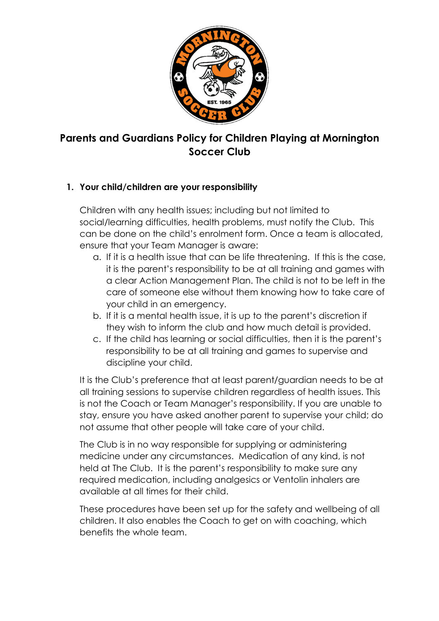

# Parents and Guardians Policy for Children Playing at Mornington Soccer Club

## 1. Your child/children are your responsibility

Children with any health issues; including but not limited to social/learning difficulties, health problems, must notify the Club. This can be done on the child's enrolment form. Once a team is allocated, ensure that your Team Manager is aware:

- a. If it is a health issue that can be life threatening. If this is the case, it is the parent's responsibility to be at all training and games with a clear Action Management Plan. The child is not to be left in the care of someone else without them knowing how to take care of your child in an emergency.
- b. If it is a mental health issue, it is up to the parent's discretion if they wish to inform the club and how much detail is provided.
- c. If the child has learning or social difficulties, then it is the parent's responsibility to be at all training and games to supervise and discipline your child.

It is the Club's preference that at least parent/guardian needs to be at all training sessions to supervise children regardless of health issues. This is not the Coach or Team Manager's responsibility. If you are unable to stay, ensure you have asked another parent to supervise your child; do not assume that other people will take care of your child.

The Club is in no way responsible for supplying or administering medicine under any circumstances. Medication of any kind, is not held at The Club. It is the parent's responsibility to make sure any required medication, including analgesics or Ventolin inhalers are available at all times for their child.

These procedures have been set up for the safety and wellbeing of all children. It also enables the Coach to get on with coaching, which benefits the whole team.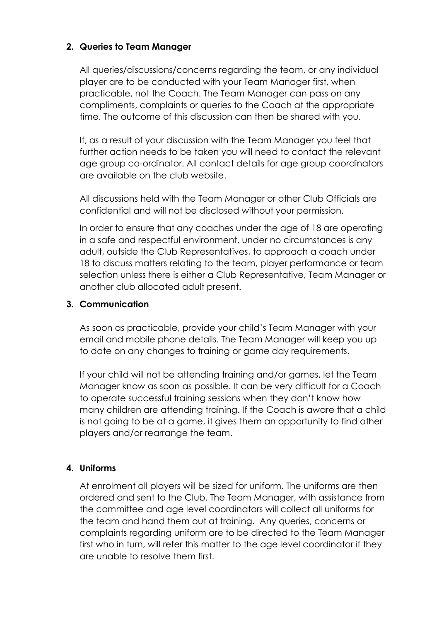### 2. Queries to Team Manager

All queries/discussions/concerns regarding the team, or any individual player are to be conducted with your Team Manager first, when practicable, not the Coach. The Team Manager can pass on any compliments, complaints or queries to the Coach at the appropriate time. The outcome of this discussion can then be shared with you.

If, as a result of your discussion with the Team Manager you feel that further action needs to be taken you will need to contact the relevant age group co-ordinator. All contact details for age group coordinators are available on the club website.

All discussions held with the Team Manager or other Club Officials are confidential and will not be disclosed without your permission.

In order to ensure that any coaches under the age of 18 are operating in a safe and respectful environment, under no circumstances is any adult, outside the Club Representatives, to approach a coach under 18 to discuss matters relating to the team, player performance or team selection unless there is either a Club Representative, Team Manager or another club allocated adult present.

#### 3. Communication

As soon as practicable, provide your child's Team Manager with your email and mobile phone details. The Team Manager will keep you up to date on any changes to training or game day requirements.

If your child will not be attending training and/or games, let the Team Manager know as soon as possible. It can be very difficult for a Coach to operate successful training sessions when they don't know how many children are attending training. If the Coach is aware that a child is not going to be at a game, it gives them an opportunity to find other players and/or rearrange the team.

#### 4. Uniforms

At enrolment all players will be sized for uniform. The uniforms are then ordered and sent to the Club. The Team Manager, with assistance from the committee and age level coordinators will collect all uniforms for the team and hand them out at training. Any queries, concerns or complaints regarding uniform are to be directed to the Team Manager first who in turn, will refer this matter to the age level coordinator if they are unable to resolve them first.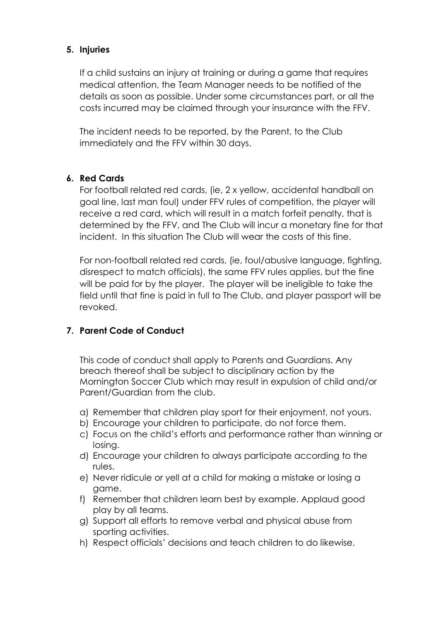#### 5. Injuries

If a child sustains an injury at training or during a game that requires medical attention, the Team Manager needs to be notified of the details as soon as possible. Under some circumstances part, or all the costs incurred may be claimed through your insurance with the FFV.

The incident needs to be reported, by the Parent, to the Club immediately and the FFV within 30 days.

## 6. Red Cards

For football related red cards, (ie, 2 x yellow, accidental handball on goal line, last man foul) under FFV rules of competition, the player will receive a red card, which will result in a match forfeit penalty, that is determined by the FFV, and The Club will incur a monetary fine for that incident. In this situation The Club will wear the costs of this fine.

For non-football related red cards, (ie, foul/abusive language, fighting, disrespect to match officials), the same FFV rules applies, but the fine will be paid for by the player. The player will be ineligible to take the field until that fine is paid in full to The Club, and player passport will be revoked.

## 7. Parent Code of Conduct

This code of conduct shall apply to Parents and Guardians. Any breach thereof shall be subject to disciplinary action by the Mornington Soccer Club which may result in expulsion of child and/or Parent/Guardian from the club.

- a) Remember that children play sport for their enjoyment, not yours.
- b) Encourage your children to participate, do not force them.
- c) Focus on the child's efforts and performance rather than winning or losing.
- d) Encourage your children to always participate according to the rules.
- e) Never ridicule or yell at a child for making a mistake or losing a game.
- f) Remember that children learn best by example. Applaud good play by all teams.
- g) Support all efforts to remove verbal and physical abuse from sporting activities.
- h) Respect officials' decisions and teach children to do likewise.